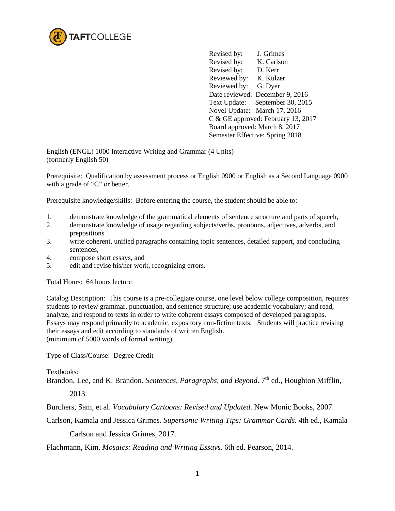

Revised by: J. Grimes Revised by: K. Carlson Revised by: D. Kerr Reviewed by: K. Kulzer Reviewed by: G. Dyer Date reviewed: December 9, 2016 Text Update: September 30, 2015 Novel Update: March 17, 2016 C & GE approved: February 13, 2017 Board approved: March 8, 2017 Semester Effective: Spring 2018

English (ENGL) 1000 Interactive Writing and Grammar (4 Units) (formerly English 50)

Prerequisite: Qualification by assessment process or English 0900 or English as a Second Language 0900 with a grade of "C" or better.

Prerequisite knowledge/skills: Before entering the course, the student should be able to:

- 1. demonstrate knowledge of the grammatical elements of sentence structure and parts of speech,
- 2. demonstrate knowledge of usage regarding subjects/verbs, pronouns, adjectives, adverbs, and prepositions
- 3. write coherent, unified paragraphs containing topic sentences, detailed support, and concluding sentences,
- 4. compose short essays, and
- 5. edit and revise his/her work, recognizing errors.

Total Hours: 64 hours lecture

Catalog Description: This course is a pre-collegiate course, one level below college composition, requires students to review grammar, punctuation, and sentence structure; use academic vocabulary; and read, analyze, and respond to texts in order to write coherent essays composed of developed paragraphs. Essays may respond primarily to academic, expository non-fiction texts. Students will practice revising their essays and edit according to standards of written English. (minimum of 5000 words of formal writing).

Type of Class/Course: Degree Credit

Textbooks:

Brandon, Lee, and K. Brandon. *Sentences, Paragraphs, and Beyond.* 7<sup>th</sup> ed., Houghton Mifflin,

2013.

Burchers, Sam, et al. *Vocabulary Cartoons: Revised and Updated*. New Monic Books, 2007.

Carlson, Kamala and Jessica Grimes. *Supersonic Writing Tips: Grammar Cards*. 4th ed., Kamala

Carlson and Jessica Grimes, 2017.

Flachmann, Kim. *Mosaics: Reading and Writing Essays.* 6th ed. Pearson, 2014.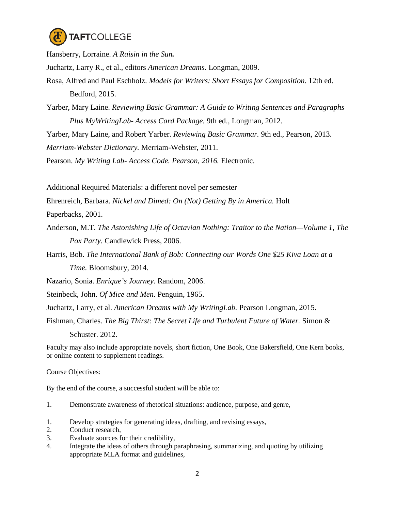

Hansberry, Lorraine. *A Raisin in the Sun.* Juchartz, Larry R., et al., editors *American Dreams*. Longman, 2009. Rosa, Alfred and Paul Eschholz. *Models for Writers: Short Essays for Composition.* 12th ed. Bedford, 2015.

Yarber, Mary Laine. *Reviewing Basic Grammar: A Guide to Writing Sentences and Paragraphs Plus MyWritingLab- Access Card Package.* 9th ed., Longman, 2012.

Yarber, Mary Laine, and Robert Yarber. *Reviewing Basic Grammar.* 9th ed., Pearson, 2013. *Merriam-Webster Dictionary.* Merriam-Webster, 2011.

Pearson. *My Writing Lab- Access Code. Pearson, 2016.* Electronic.

Additional Required Materials: a different novel per semester

Ehrenreich, Barbara. *Nickel and Dimed: On (Not) Getting By in America.* Holt

Paperbacks, 2001.

- Anderson, M.T. *The Astonishing Life of Octavian Nothing: Traitor to the Nation—Volume 1, The Pox Party.* Candlewick Press, 2006.
- Harris, Bob. *The International Bank of Bob: Connecting our Words One \$25 Kiva Loan at a Time.* Bloomsbury, 2014.

Nazario, Sonia. *Enrique's Journey.* Random, 2006.

- Steinbeck, John. *Of Mice and Men*. Penguin, 1965.
- Juchartz, Larry, et al. *American Dreams with My WritingLab.* Pearson Longman, 2015.

Fishman, Charles. *The Big Thirst: The Secret Life and Turbulent Future of Water.* Simon & Schuster. 2012.

Faculty may also include appropriate novels, short fiction, One Book, One Bakersfield, One Kern books, or online content to supplement readings.

Course Objectives:

By the end of the course, a successful student will be able to:

- 1. Demonstrate awareness of rhetorical situations: audience, purpose, and genre,
- 1. Develop strategies for generating ideas, drafting, and revising essays,
- 2. Conduct research,
- 3. Evaluate sources for their credibility,
- 4. Integrate the ideas of others through paraphrasing, summarizing, and quoting by utilizing appropriate MLA format and guidelines,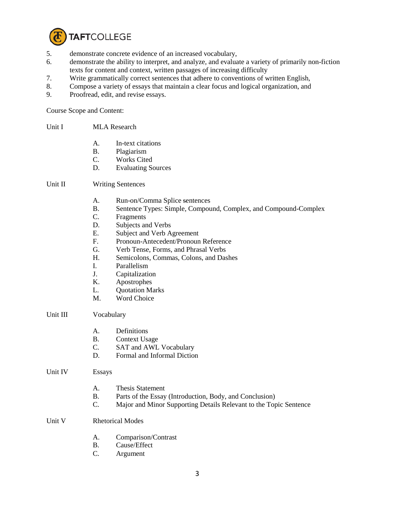

- 5. demonstrate concrete evidence of an increased vocabulary,
- 6. demonstrate the ability to interpret, and analyze, and evaluate a variety of primarily non-fiction texts for content and context, written passages of increasing difficulty
- 7. Write grammatically correct sentences that adhere to conventions of written English,
- 8. Compose a variety of essays that maintain a clear focus and logical organization, and
- 9. Proofread, edit, and revise essays.

Course Scope and Content:

- Unit I MLA Research
	- A. In-text citations
	- B. Plagiarism<br>C. Works Cite
	- Works Cited
	- D. Evaluating Sources

## Unit II Writing Sentences

- 
- A. Run-on/Comma Splice sentences<br>B. Sentence Types: Simple, Compou Sentence Types: Simple, Compound, Complex, and Compound-Complex
- C. Fragments
- D. Subjects and Verbs
- E. Subject and Verb Agreement<br>F. Pronoun-Antecedent/Pronoun
- Pronoun-Antecedent/Pronoun Reference
- G. Verb Tense, Forms, and Phrasal Verbs
- H. Semicolons, Commas, Colons, and Dashes
- I. Parallelism
- J. Capitalization
- K. Apostrophes
- L. Quotation Marks
- M. Word Choice
- Unit III Vocabulary
	- A. Definitions
	- B. Context Usage
	- C. SAT and AWL Vocabulary
	- D. Formal and Informal Diction
- Unit IV Essays
	- A. Thesis Statement
	- B. Parts of the Essay (Introduction, Body, and Conclusion)
	- C. Major and Minor Supporting Details Relevant to the Topic Sentence
- Unit V Rhetorical Modes
	- A. Comparison/Contrast
	- B. Cause/Effect
	- C. Argument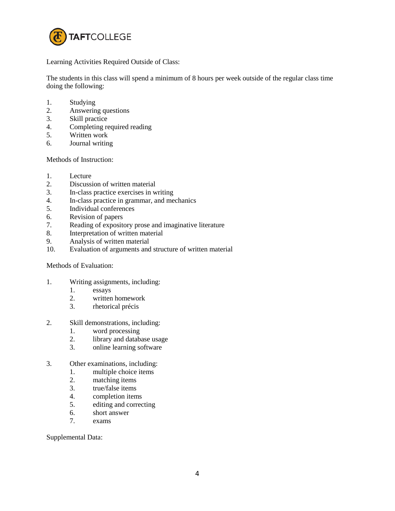

Learning Activities Required Outside of Class:

The students in this class will spend a minimum of 8 hours per week outside of the regular class time doing the following:

- 1. Studying
- 2. Answering questions<br>3. Skill practice
- Skill practice
- 4. Completing required reading
- 5. Written work
- 6. Journal writing

Methods of Instruction:

- 1. Lecture
- 2. Discussion of written material
- 3. In-class practice exercises in writing
- 4. In-class practice in grammar, and mechanics
- 5. Individual conferences
- 6. Revision of papers
- 7. Reading of expository prose and imaginative literature
- 8. Interpretation of written material<br>9. Analysis of written material
- 9. Analysis of written material
- 10. Evaluation of arguments and structure of written material

## Methods of Evaluation:

- 1. Writing assignments, including:
	- 1. essays
	- 2. written homework
	- 3. rhetorical précis
- 2. Skill demonstrations, including:
	- 1. word processing
	- 2. library and database usage
	- 3. online learning software
- 3. Other examinations, including:
	- 1. multiple choice items
	- 2. matching items<br>3. true/false items
	- true/false items
	- 4. completion items<br>5. editing and correct
	- editing and correcting
	- 6. short answer
	- 7. exams

Supplemental Data: